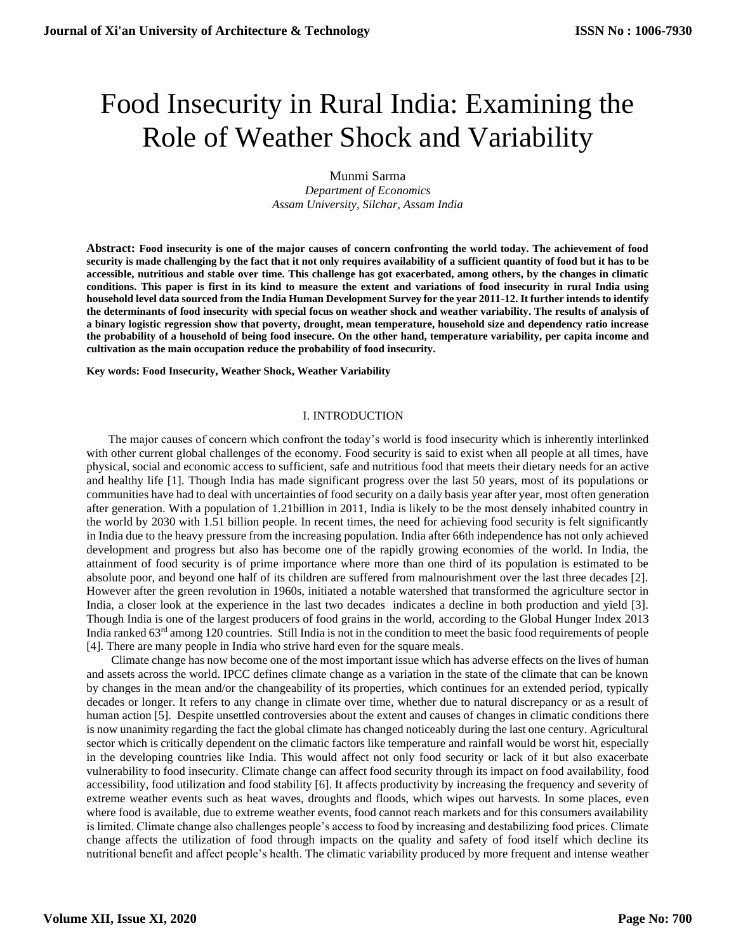# Food Insecurity in Rural India: Examining the Role of Weather Shock and Variability

Munmi Sarma *Department of Economics Assam University, Silchar, Assam India*

**Abstract: Food insecurity is one of the major causes of concern confronting the world today. The achievement of food security is made challenging by the fact that it not only requires availability of a sufficient quantity of food but it has to be accessible, nutritious and stable over time. This challenge has got exacerbated, among others, by the changes in climatic conditions. This paper is first in its kind to measure the extent and variations of food insecurity in rural India using household level data sourced from the India Human Development Survey for the year 2011-12. It further intends to identify the determinants of food insecurity with special focus on weather shock and weather variability. The results of analysis of a binary logistic regression show that poverty, drought, mean temperature, household size and dependency ratio increase the probability of a household of being food insecure. On the other hand, temperature variability, per capita income and cultivation as the main occupation reduce the probability of food insecurity.** 

**Key words: Food Insecurity, Weather Shock, Weather Variability**

## I. INTRODUCTION

The major causes of concern which confront the today's world is food insecurity which is inherently interlinked with other current global challenges of the economy. Food security is said to exist when all people at all times, have physical, social and economic access to sufficient, safe and nutritious food that meets their dietary needs for an active and healthy life [1]. Though India has made significant progress over the last 50 years, most of its populations or communities have had to deal with uncertainties of food security on a daily basis year after year, most often generation after generation. With a population of 1.21billion in 2011, India is likely to be the most densely inhabited country in the world by 2030 with 1.51 billion people. In recent times, the need for achieving food security is felt significantly in India due to the heavy pressure from the increasing population. India after 66th independence has not only achieved development and progress but also has become one of the rapidly growing economies of the world. In India, the attainment of food security is of prime importance where more than one third of its population is estimated to be absolute poor, and beyond one half of its children are suffered from malnourishment over the last three decades [2]. However after the green revolution in 1960s, initiated a notable watershed that transformed the agriculture sector in India, a closer look at the experience in the last two decades indicates a decline in both production and yield [3]. Though India is one of the largest producers of food grains in the world, according to the Global Hunger Index 2013 India ranked 63<sup>rd</sup> among 120 countries. Still India is not in the condition to meet the basic food requirements of people [4]. There are many people in India who strive hard even for the square meals.

Climate change has now become one of the most important issue which has adverse effects on the lives of human and assets across the world. IPCC defines climate change as a variation in the state of the climate that can be known by changes in the mean and/or the changeability of its properties, which continues for an extended period, typically decades or longer. It refers to any change in climate over time, whether due to natural discrepancy or as a result of human action [5]. Despite unsettled controversies about the extent and causes of changes in climatic conditions there is now unanimity regarding the fact the global climate has changed noticeably during the last one century. Agricultural sector which is critically dependent on the climatic factors like temperature and rainfall would be worst hit, especially in the developing countries like India. This would affect not only food security or lack of it but also exacerbate vulnerability to food insecurity. Climate change can affect food security through its impact on food availability, food accessibility, food utilization and food stability [6]. It affects productivity by increasing the frequency and severity of extreme weather events such as heat waves, droughts and floods, which wipes out harvests. In some places, even where food is available, due to extreme weather events, food cannot reach markets and for this consumers availability is limited. Climate change also challenges people's access to food by increasing and destabilizing food prices. Climate change affects the utilization of food through impacts on the quality and safety of food itself which decline its nutritional benefit and affect people's health. The climatic variability produced by more frequent and intense weather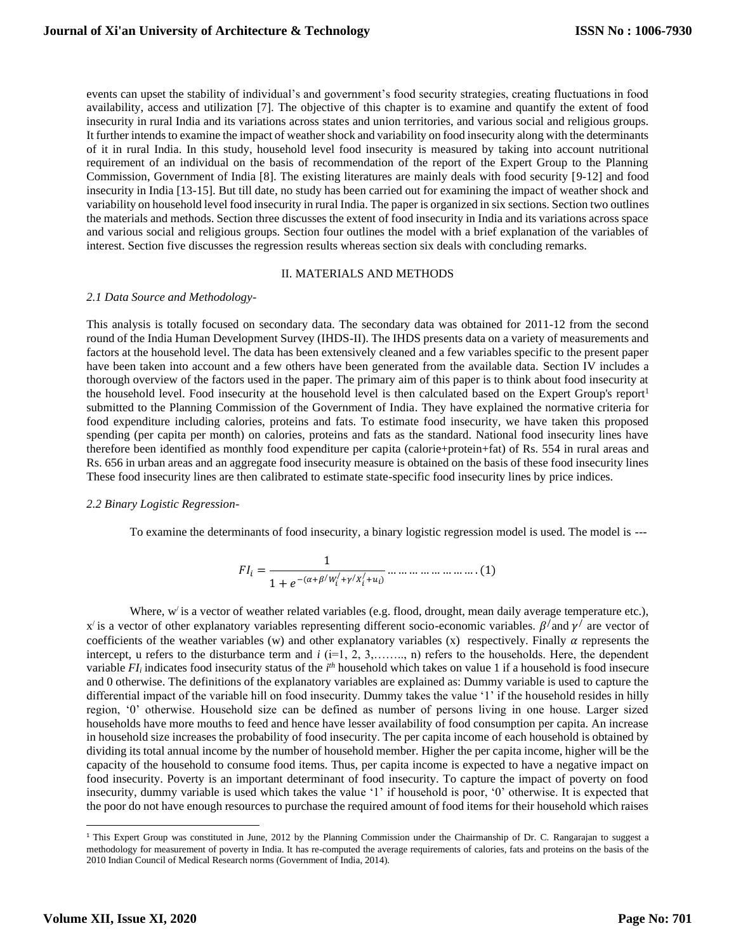events can upset the stability of individual's and government's food security strategies, creating fluctuations in food availability, access and utilization [7]. The objective of this chapter is to examine and quantify the extent of food insecurity in rural India and its variations across states and union territories, and various social and religious groups. It further intends to examine the impact of weather shock and variability on food insecurity along with the determinants of it in rural India. In this study, household level food insecurity is measured by taking into account nutritional requirement of an individual on the basis of recommendation of the report of the Expert Group to the Planning Commission, Government of India [8]. The existing literatures are mainly deals with food security [9-12] and food insecurity in India [13-15]. But till date, no study has been carried out for examining the impact of weather shock and variability on household level food insecurity in rural India. The paper is organized in six sections. Section two outlines the materials and methods. Section three discusses the extent of food insecurity in India and its variations across space and various social and religious groups. Section four outlines the model with a brief explanation of the variables of interest. Section five discusses the regression results whereas section six deals with concluding remarks.

## II. MATERIALS AND METHODS

#### *2.1 Data Source and Methodology-*

This analysis is totally focused on secondary data. The secondary data was obtained for 2011-12 from the second round of the India Human Development Survey (IHDS-II). The IHDS presents data on a variety of measurements and factors at the household level. The data has been extensively cleaned and a few variables specific to the present paper have been taken into account and a few others have been generated from the available data. Section IV includes a thorough overview of the factors used in the paper. The primary aim of this paper is to think about food insecurity at the household level. Food insecurity at the household level is then calculated based on the Expert Group's report<sup>1</sup> submitted to the Planning Commission of the Government of India. They have explained the normative criteria for food expenditure including calories, proteins and fats. To estimate food insecurity, we have taken this proposed spending (per capita per month) on calories, proteins and fats as the standard. National food insecurity lines have therefore been identified as monthly food expenditure per capita (calorie+protein+fat) of Rs. 554 in rural areas and Rs. 656 in urban areas and an aggregate food insecurity measure is obtained on the basis of these food insecurity lines These food insecurity lines are then calibrated to estimate state-specific food insecurity lines by price indices.

## *2.2 Binary Logistic Regression-*

To examine the determinants of food insecurity, a binary logistic regression model is used. The model is ---

$$
FI_{i} = \frac{1}{1 + e^{-(\alpha + \beta/w'_{i} + \gamma/x'_{i} + u_{i})}} \dots \dots \dots \dots \dots \dots \dots (1)
$$

Where,  $w'$  is a vector of weather related variables (e.g. flood, drought, mean daily average temperature etc.), x' is a vector of other explanatory variables representing different socio-economic variables.  $\beta$ ' and  $\gamma$ ' are vector of coefficients of the weather variables (w) and other explanatory variables (x) respectively. Finally  $\alpha$  represents the intercept, u refers to the disturbance term and *i* (i=1, 2, 3,……,, n) refers to the households. Here, the dependent variable *FI*<sup>*i*</sup> indicates food insecurity status of the *i*<sup>th</sup> household which takes on value 1 if a household is food insecure and 0 otherwise. The definitions of the explanatory variables are explained as: Dummy variable is used to capture the differential impact of the variable hill on food insecurity. Dummy takes the value '1' if the household resides in hilly region, '0' otherwise. Household size can be defined as number of persons living in one house. Larger sized households have more mouths to feed and hence have lesser availability of food consumption per capita. An increase in household size increases the probability of food insecurity. The per capita income of each household is obtained by dividing its total annual income by the number of household member. Higher the per capita income, higher will be the capacity of the household to consume food items. Thus, per capita income is expected to have a negative impact on food insecurity. Poverty is an important determinant of food insecurity. To capture the impact of poverty on food insecurity, dummy variable is used which takes the value '1' if household is poor, '0' otherwise. It is expected that the poor do not have enough resources to purchase the required amount of food items for their household which raises

<sup>&</sup>lt;sup>1</sup> This Expert Group was constituted in June, 2012 by the Planning Commission under the Chairmanship of Dr. C. Rangarajan to suggest a methodology for measurement of poverty in India. It has re-computed the average requirements of calories, fats and proteins on the basis of the 2010 Indian Council of Medical Research norms (Government of India, 2014).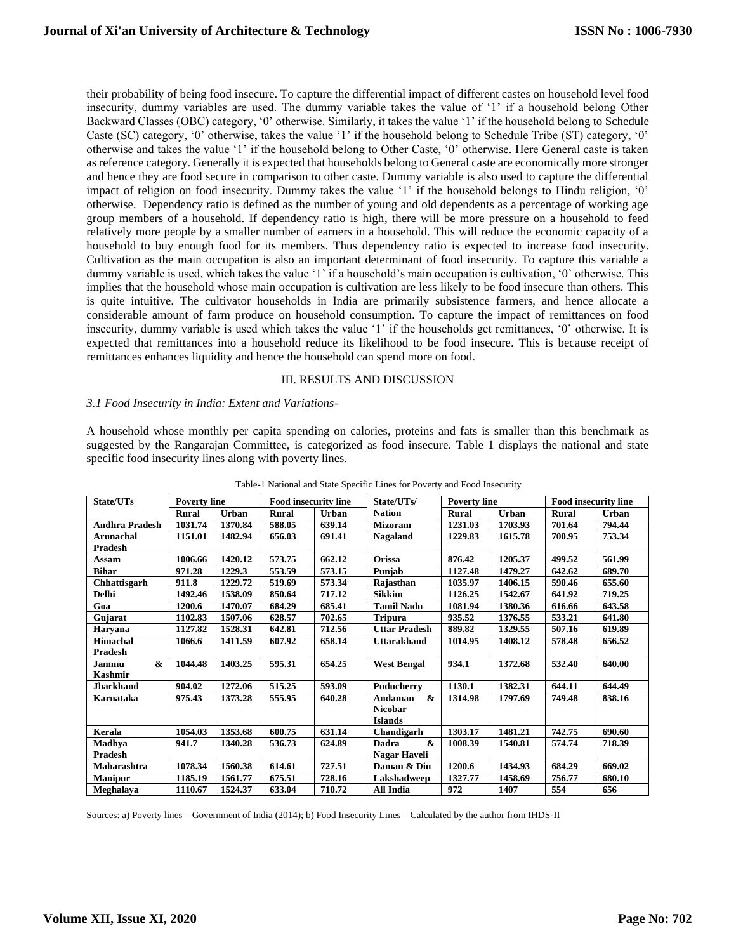their probability of being food insecure. To capture the differential impact of different castes on household level food insecurity, dummy variables are used. The dummy variable takes the value of '1' if a household belong Other Backward Classes (OBC) category, '0' otherwise. Similarly, it takes the value '1' if the household belong to Schedule Caste (SC) category, '0' otherwise, takes the value '1' if the household belong to Schedule Tribe (ST) category, '0' otherwise and takes the value '1' if the household belong to Other Caste, '0' otherwise. Here General caste is taken as reference category. Generally it is expected that households belong to General caste are economically more stronger and hence they are food secure in comparison to other caste. Dummy variable is also used to capture the differential impact of religion on food insecurity. Dummy takes the value '1' if the household belongs to Hindu religion, '0' otherwise. Dependency ratio is defined as the number of young and old dependents as a percentage of working age group members of a household. If dependency ratio is high, there will be more pressure on a household to feed relatively more people by a smaller number of earners in a household. This will reduce the economic capacity of a household to buy enough food for its members. Thus dependency ratio is expected to increase food insecurity. Cultivation as the main occupation is also an important determinant of food insecurity. To capture this variable a dummy variable is used, which takes the value '1' if a household's main occupation is cultivation, '0' otherwise. This implies that the household whose main occupation is cultivation are less likely to be food insecure than others. This is quite intuitive. The cultivator households in India are primarily subsistence farmers, and hence allocate a considerable amount of farm produce on household consumption. To capture the impact of remittances on food insecurity, dummy variable is used which takes the value '1' if the households get remittances, '0' otherwise. It is expected that remittances into a household reduce its likelihood to be food insecure. This is because receipt of remittances enhances liquidity and hence the household can spend more on food.

#### III. RESULTS AND DISCUSSION

#### *3.1 Food Insecurity in India: Extent and Variations-*

A household whose monthly per capita spending on calories, proteins and fats is smaller than this benchmark as suggested by the Rangarajan Committee, is categorized as food insecure. Table 1 displays the national and state specific food insecurity lines along with poverty lines.

| State/UTs                      | <b>Poverty line</b> |         | <b>Food insecurity line</b> |              | State/UTs/                 | <b>Poverty line</b> |              | <b>Food insecurity line</b> |        |
|--------------------------------|---------------------|---------|-----------------------------|--------------|----------------------------|---------------------|--------------|-----------------------------|--------|
|                                | Rural               | Urban   | Rural                       | <b>Urban</b> | <b>Nation</b>              | <b>Rural</b>        | <b>Urban</b> | <b>Rural</b>                | Urban  |
| Andhra Pradesh                 | 1031.74             | 1370.84 | 588.05                      | 639.14       | <b>Mizoram</b>             | 1231.03             | 1703.93      | 701.64                      | 794.44 |
| Arunachal                      | 1151.01             | 1482.94 | 656.03                      | 691.41       | <b>Nagaland</b>            | 1229.83             | 1615.78      | 700.95                      | 753.34 |
| Pradesh                        |                     |         |                             |              |                            |                     |              |                             |        |
| Assam                          | 1006.66             | 1420.12 | 573.75                      | 662.12       | <b>Orissa</b>              | 876.42              | 1205.37      | 499.52                      | 561.99 |
| <b>Bihar</b>                   | 971.28              | 1229.3  | 553.59                      | 573.15       | Punjab                     | 1127.48             | 1479.27      | 642.62                      | 689.70 |
| Chhattisgarh                   | 911.8               | 1229.72 | 519.69                      | 573.34       | Rajasthan                  | 1035.97             | 1406.15      | 590.46                      | 655.60 |
| <b>Delhi</b>                   | 1492.46             | 1538.09 | 850.64                      | 717.12       | <b>Sikkim</b>              | 1126.25             | 1542.67      | 641.92                      | 719.25 |
| Goa                            | 1200.6              | 1470.07 | 684.29                      | 685.41       | <b>Tamil Nadu</b>          | 1081.94             | 1380.36      | 616.66                      | 643.58 |
| Gujarat                        | 1102.83             | 1507.06 | 628.57                      | 702.65       | <b>Tripura</b>             | 935.52              | 1376.55      | 533.21                      | 641.80 |
| Haryana                        | 1127.82             | 1528.31 | 642.81                      | 712.56       | <b>Uttar Pradesh</b>       | 889.82              | 1329.55      | 507.16                      | 619.89 |
| <b>Himachal</b>                | 1066.6              | 1411.59 | 607.92                      | 658.14       | <b>Uttarakhand</b>         | 1014.95             | 1408.12      | 578.48                      | 656.52 |
| <b>Pradesh</b>                 |                     |         |                             |              |                            |                     |              |                             |        |
| $\boldsymbol{\alpha}$<br>Jammu | 1044.48             | 1403.25 | 595.31                      | 654.25       | <b>West Bengal</b>         | 934.1               | 1372.68      | 532.40                      | 640.00 |
| <b>Kashmir</b>                 |                     |         |                             |              |                            |                     |              |                             |        |
| <b>Jharkhand</b>               | 904.02              | 1272.06 | 515.25                      | 593.09       | Puducherry                 | 1130.1              | 1382.31      | 644.11                      | 644.49 |
| Karnataka                      | 975.43              | 1373.28 | 555.95                      | 640.28       | &<br>Andaman               | 1314.98             | 1797.69      | 749.48                      | 838.16 |
|                                |                     |         |                             |              | <b>Nicobar</b>             |                     |              |                             |        |
|                                |                     |         |                             |              | <b>Islands</b>             |                     |              |                             |        |
| Kerala                         | 1054.03             | 1353.68 | 600.75                      | 631.14       | Chandigarh                 | 1303.17             | 1481.21      | 742.75                      | 690.60 |
| Madhya                         | 941.7               | 1340.28 | 536.73                      | 624.89       | $\mathbf{\alpha}$<br>Dadra | 1008.39             | 1540.81      | 574.74                      | 718.39 |
| Pradesh                        |                     |         |                             |              | Nagar Haveli               |                     |              |                             |        |
| Maharashtra                    | 1078.34             | 1560.38 | 614.61                      | 727.51       | Daman & Diu                | 1200.6              | 1434.93      | 684.29                      | 669.02 |
| <b>Manipur</b>                 | 1185.19             | 1561.77 | 675.51                      | 728.16       | Lakshadweep                | 1327.77             | 1458.69      | 756.77                      | 680.10 |
| Meghalaya                      | 1110.67             | 1524.37 | 633.04                      | 710.72       | All India                  | 972                 | 1407         | 554                         | 656    |

Table-1 National and State Specific Lines for Poverty and Food Insecurity

Sources: a) Poverty lines – Government of India (2014); b) Food Insecurity Lines – Calculated by the author from IHDS-II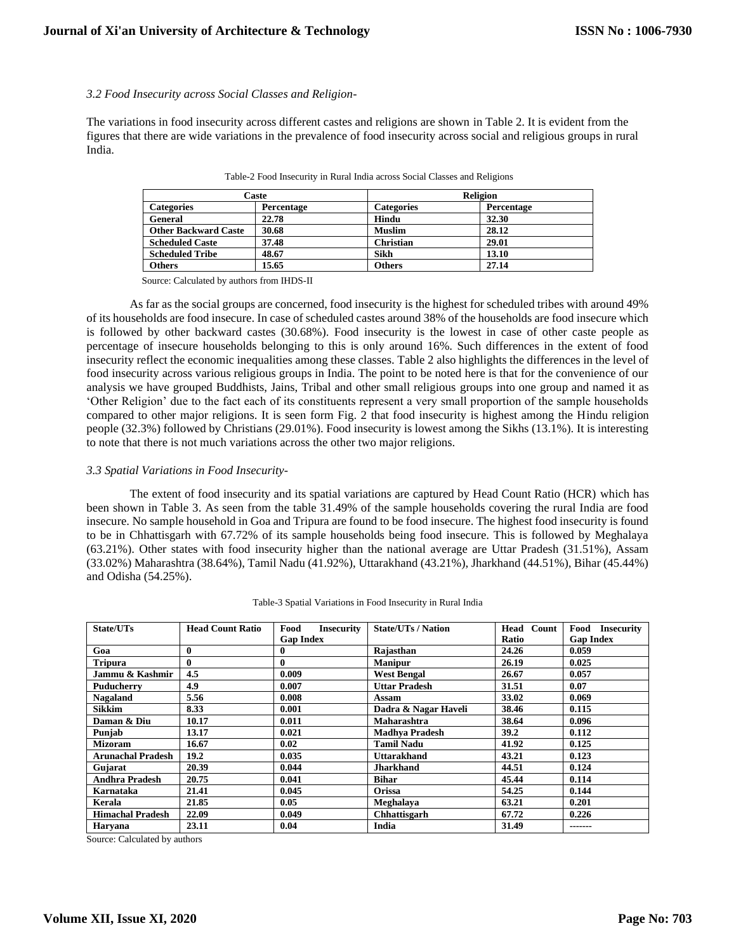### *3.2 Food Insecurity across Social Classes and Religion-*

The variations in food insecurity across different castes and religions are shown in Table 2. It is evident from the figures that there are wide variations in the prevalence of food insecurity across social and religious groups in rural India.

|                             | Caste      | <b>Religion</b>   |            |  |
|-----------------------------|------------|-------------------|------------|--|
| <b>Categories</b>           | Percentage | <b>Categories</b> | Percentage |  |
| General                     | 22.78      | Hindu             | 32.30      |  |
| <b>Other Backward Caste</b> | 30.68      | <b>Muslim</b>     | 28.12      |  |
| <b>Scheduled Caste</b>      | 37.48      | <b>Christian</b>  | 29.01      |  |
| <b>Scheduled Tribe</b>      | 48.67      | Sikh              | 13.10      |  |
| Others                      | 15.65      | Others            | 27.14      |  |

Table-2 Food Insecurity in Rural India across Social Classes and Religions

Source: Calculated by authors from IHDS-II

As far as the social groups are concerned, food insecurity is the highest for scheduled tribes with around 49% of its households are food insecure. In case of scheduled castes around 38% of the households are food insecure which is followed by other backward castes (30.68%). Food insecurity is the lowest in case of other caste people as percentage of insecure households belonging to this is only around 16%. Such differences in the extent of food insecurity reflect the economic inequalities among these classes. Table 2 also highlights the differences in the level of food insecurity across various religious groups in India. The point to be noted here is that for the convenience of our analysis we have grouped Buddhists, Jains, Tribal and other small religious groups into one group and named it as 'Other Religion' due to the fact each of its constituents represent a very small proportion of the sample households compared to other major religions. It is seen form Fig. 2 that food insecurity is highest among the Hindu religion people (32.3%) followed by Christians (29.01%). Food insecurity is lowest among the Sikhs (13.1%). It is interesting to note that there is not much variations across the other two major religions.

#### *3.3 Spatial Variations in Food Insecurity-*

The extent of food insecurity and its spatial variations are captured by Head Count Ratio (HCR) which has been shown in Table 3. As seen from the table 31.49% of the sample households covering the rural India are food insecure. No sample household in Goa and Tripura are found to be food insecure. The highest food insecurity is found to be in Chhattisgarh with 67.72% of its sample households being food insecure. This is followed by Meghalaya (63.21%). Other states with food insecurity higher than the national average are Uttar Pradesh (31.51%), Assam (33.02%) Maharashtra (38.64%), Tamil Nadu (41.92%), Uttarakhand (43.21%), Jharkhand (44.51%), Bihar (45.44%) and Odisha (54.25%).

| State/UTs                | <b>Head Count Ratio</b> | Food<br><b>Insecurity</b> | <b>State/UTs / Nation</b> | Head<br>Count | <b>Food</b> Insecurity |
|--------------------------|-------------------------|---------------------------|---------------------------|---------------|------------------------|
|                          |                         | <b>Gap Index</b>          |                           | Ratio         | <b>Gap Index</b>       |
| Goa                      | 0                       | 0                         | Rajasthan                 | 24.26         | 0.059                  |
| <b>Tripura</b>           | $\bf{0}$                | $\bf{0}$                  | <b>Manipur</b>            | 26.19         | 0.025                  |
| Jammu & Kashmir          | 4.5                     | 0.009                     | <b>West Bengal</b>        | 26.67         | 0.057                  |
| <b>Puducherry</b>        | 4.9<br>0.007            |                           | <b>Uttar Pradesh</b>      | 31.51         | 0.07                   |
| <b>Nagaland</b>          | 5.56                    | 0.008                     | Assam                     | 33.02         | 0.069                  |
| <b>Sikkim</b>            | 8.33                    | 0.001                     | Dadra & Nagar Haveli      | 38.46         | 0.115                  |
| Daman & Diu              | 10.17<br>0.011          |                           | Maharashtra               | 38.64         | 0.096                  |
| Punjab                   | 13.17                   | 0.021                     | <b>Madhya Pradesh</b>     | 39.2          | 0.112                  |
| <b>Mizoram</b>           | 16.67                   | 0.02                      | <b>Tamil Nadu</b>         | 41.92         | 0.125                  |
| <b>Arunachal Pradesh</b> | 19.2                    | 0.035                     | <b>Uttarakhand</b>        | 43.21         | 0.123                  |
| Gujarat                  | 20.39                   | 0.044                     | <b>Jharkhand</b>          | 44.51         | 0.124                  |
| <b>Andhra Pradesh</b>    | 20.75                   | 0.041                     | <b>Bihar</b>              | 45.44         | 0.114                  |
| Karnataka                | 21.41                   | 0.045                     | Orissa                    | 54.25         | 0.144                  |
| Kerala                   | 21.85                   | 0.05                      | Meghalaya                 | 63.21         | 0.201                  |
| <b>Himachal Pradesh</b>  | 22.09                   | 0.049                     | Chhattisgarh              | 67.72         | 0.226                  |
| Harvana                  | 23.11                   | 0.04                      | India                     | 31.49         | -------                |

| Table-3 Spatial Variations in Food Insecurity in Rural India |  |  |  |
|--------------------------------------------------------------|--|--|--|
|                                                              |  |  |  |

Source: Calculated by authors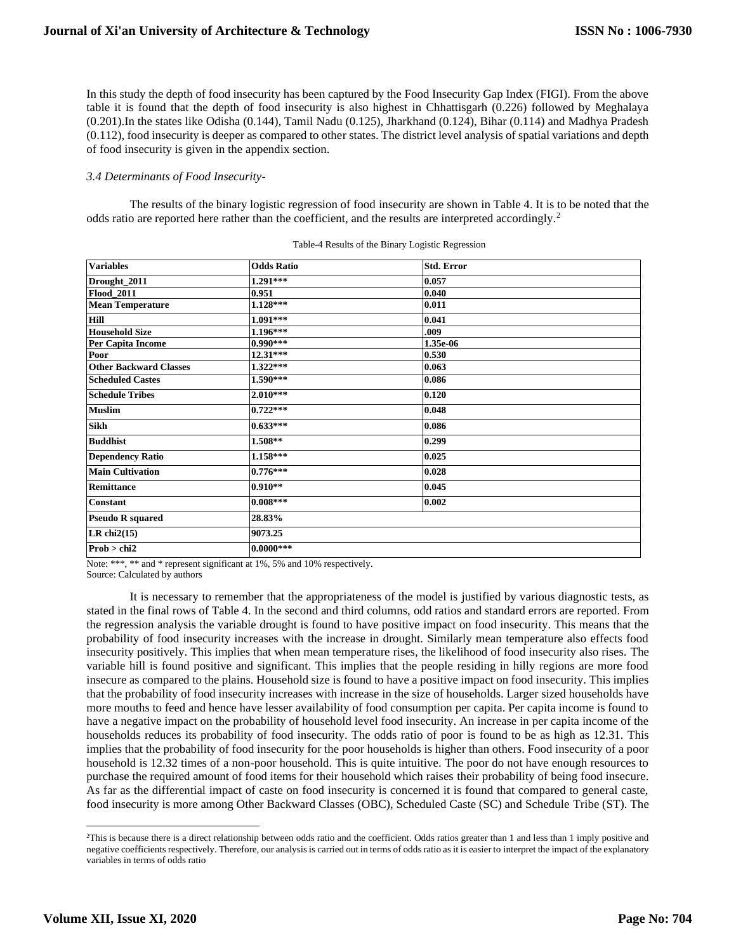In this study the depth of food insecurity has been captured by the Food Insecurity Gap Index (FIGI). From the above table it is found that the depth of food insecurity is also highest in Chhattisgarh (0.226) followed by Meghalaya (0.201).In the states like Odisha (0.144), Tamil Nadu (0.125), Jharkhand (0.124), Bihar (0.114) and Madhya Pradesh (0.112), food insecurity is deeper as compared to other states. The district level analysis of spatial variations and depth of food insecurity is given in the appendix section.

## *3.4 Determinants of Food Insecurity-*

The results of the binary logistic regression of food insecurity are shown in Table 4. It is to be noted that the odds ratio are reported here rather than the coefficient, and the results are interpreted accordingly.<sup>2</sup>

| <b>Variables</b>              | <b>Odds Ratio</b> | <b>Std. Error</b> |
|-------------------------------|-------------------|-------------------|
| Drought_2011                  | $1.291***$        | 0.057             |
| <b>Flood_2011</b>             | 0.951             | 0.040             |
| <b>Mean Temperature</b>       | $1.128***$        | 0.011             |
| Hill                          | $1.091***$        | 0.041             |
| <b>Household Size</b>         | $1.196***$        | .009              |
| Per Capita Income             | $0.990***$        | 1.35e-06          |
| Poor                          | $12.31***$        | 0.530             |
| <b>Other Backward Classes</b> | $1.322***$        | 0.063             |
| <b>Scheduled Castes</b>       | 1.590***          | 0.086             |
| <b>Schedule Tribes</b>        | $2.010***$        | 0.120             |
| <b>Muslim</b>                 | $0.722***$        | 0.048             |
| <b>Sikh</b>                   | $0.633***$        | 0.086             |
| <b>Buddhist</b>               | $1.508**$         | 0.299             |
| <b>Dependency Ratio</b>       | $1.158***$        | 0.025             |
| <b>Main Cultivation</b>       | $0.776***$        | 0.028             |
| <b>Remittance</b>             | $0.910**$         | 0.045             |
| <b>Constant</b>               | $0.008***$        | 0.002             |
| <b>Pseudo R squared</b>       | 28.83%            |                   |
| LR chi $2(15)$                | 9073.25           |                   |
| Prob > chi2                   | $0.0000***$       |                   |

| Table-4 Results of the Binary Logistic Regression |  |  |  |  |
|---------------------------------------------------|--|--|--|--|
|---------------------------------------------------|--|--|--|--|

Note: \*\*\*, \*\* and \* represent significant at 1%, 5% and 10% respectively.

Source: Calculated by authors

It is necessary to remember that the appropriateness of the model is justified by various diagnostic tests, as stated in the final rows of Table 4. In the second and third columns, odd ratios and standard errors are reported. From the regression analysis the variable drought is found to have positive impact on food insecurity. This means that the probability of food insecurity increases with the increase in drought. Similarly mean temperature also effects food insecurity positively. This implies that when mean temperature rises, the likelihood of food insecurity also rises. The variable hill is found positive and significant. This implies that the people residing in hilly regions are more food insecure as compared to the plains. Household size is found to have a positive impact on food insecurity. This implies that the probability of food insecurity increases with increase in the size of households. Larger sized households have more mouths to feed and hence have lesser availability of food consumption per capita. Per capita income is found to have a negative impact on the probability of household level food insecurity. An increase in per capita income of the households reduces its probability of food insecurity. The odds ratio of poor is found to be as high as 12.31. This implies that the probability of food insecurity for the poor households is higher than others. Food insecurity of a poor household is 12.32 times of a non-poor household. This is quite intuitive. The poor do not have enough resources to purchase the required amount of food items for their household which raises their probability of being food insecure. As far as the differential impact of caste on food insecurity is concerned it is found that compared to general caste, food insecurity is more among Other Backward Classes (OBC), Scheduled Caste (SC) and Schedule Tribe (ST). The

<sup>&</sup>lt;sup>2</sup>This is because there is a direct relationship between odds ratio and the coefficient. Odds ratios greater than 1 and less than 1 imply positive and negative coefficients respectively. Therefore, our analysis is carried out in terms of odds ratio as it is easier to interpret the impact of the explanatory variables in terms of odds ratio